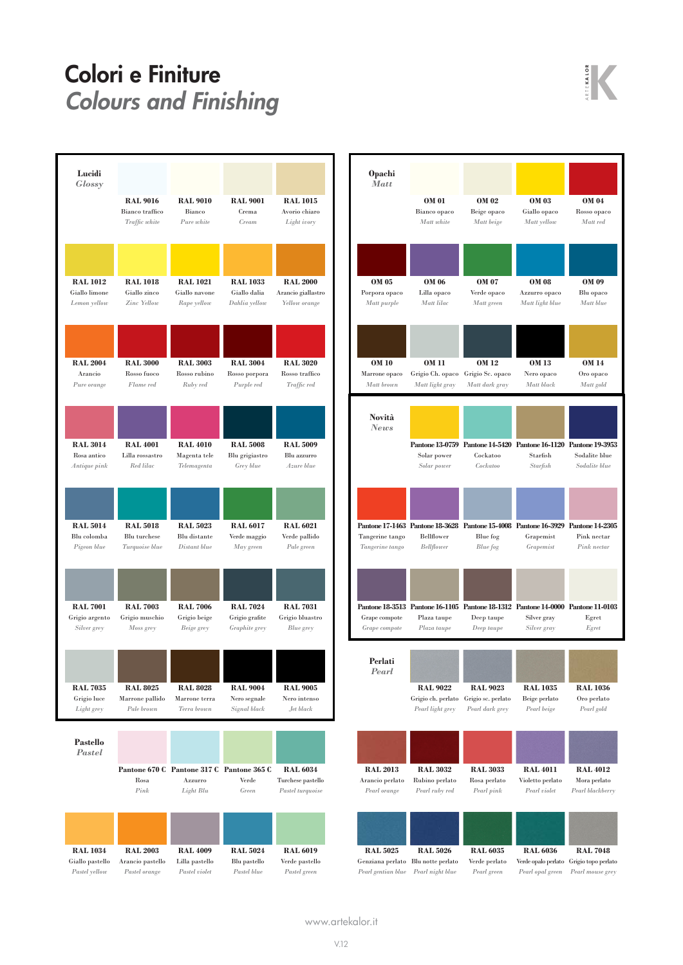## Colori e Finiture<br>Colours and Finishing Energy Colours and Finishing





| <b>Opachi</b><br><b>Matt</b>       |                            |                          |                                                                                                               |                                |
|------------------------------------|----------------------------|--------------------------|---------------------------------------------------------------------------------------------------------------|--------------------------------|
|                                    | OM 01                      | OM 02                    | <b>OM 03</b>                                                                                                  | OM 04                          |
|                                    | Bianco opaco               | Beige opaco              | Giallo opaco                                                                                                  | Rosso opaco                    |
|                                    | Matt white                 | Matt beige               | Matt yellow                                                                                                   | Matt red                       |
| OM 05                              | OM 06                      | OM 07                    | <b>OM 08</b>                                                                                                  | <b>OM 09</b>                   |
| Porpora opaco                      | Lilla opaco                | Verde opaco              | Azzurro opaco                                                                                                 | Blu opaco                      |
| Matt purple                        | Matt lilac                 | Matt green               | Matt light blue                                                                                               | Matt blue                      |
| OM 10                              | OM 11                      | OM 12                    | <b>OM 13</b>                                                                                                  | <b>OM 14</b>                   |
| Marrone opaco                      | Grigio Ch. opaco           | Grigio Sc. opaco         | Nero opaco                                                                                                    | Oro opaco                      |
| Matt brown                         | Matt light gray            | Matt dark gray           | Matt black                                                                                                    | Matt gold                      |
| Novità<br>News                     | Solar power<br>Solar power | Cockatoo<br>Cockatoo     | Pantone 13-0759 Pantone 14-5420 Pantone 16-1120 Pantone 19-3953<br>Starfish<br>Starfish                       | Sodalite blue<br>Sodalite blue |
| Tangerine tango<br>Tangerine tango | Bellflower<br>Bellflower   | Blue fog<br>Blue fog     | Pantone 17-1463 Pantone 18-3628 Pantone 15-4008 Pantone 16-3929 Pantone 14-2305<br>Grapemist<br>Grapemist     | Pink nectar<br>Pink nectar     |
| Grape compote<br>Grape compote     | Plaza taupe<br>Plaza taupe | Deep taupe<br>Deep taupe | Pantone 18-3513 Pantone 16-1105 Pantone 18-1312 Pantone 14-0000 Pantone 11-0103<br>Silver gray<br>Silver gray | Egret<br>Egret                 |
| Perlati<br>Pearl                   |                            |                          |                                                                                                               |                                |
|                                    | <b>RAL 9022</b>            | <b>RAL 9023</b>          | <b>RAL 1035</b>                                                                                               | <b>RAL 1036</b>                |
|                                    | Grigio ch. perlato         | Grigio sc. perlato       | Beige perlato                                                                                                 | Oro perlato                    |
|                                    | Pearl light grey           | Pearl dark grey          | Pearl beige                                                                                                   | Pearl gold                     |
| <b>RAL 2013</b>                    | <b>RAL 3032</b>            | <b>RAL 3033</b>          | <b>RAL 4011</b>                                                                                               | <b>RAL 4012</b>                |
| Arancio perlato                    | Rubino perlato             | Rosa perlato             | Violetto perlato                                                                                              | Mora perlato                   |
| Pearl orange                       | Pearl ruby red             | Pearl pink               | Pearl violet                                                                                                  | Pearl blackberry               |
| <b>RAL 5025</b>                    | <b>RAL 5026</b>            | <b>RAL 6035</b>          | <b>RAL 6036</b>                                                                                               | <b>RAL 7048</b>                |
| Genziana perlato                   | Blu notte perlato          | Verde perlato            | Verde opalo perlato                                                                                           | Grigio topo perlato            |
| Pearl gentian blue                 | Pearl night blue           | Pearl green              | Pearl opal green                                                                                              | Pearl mouse grey               |